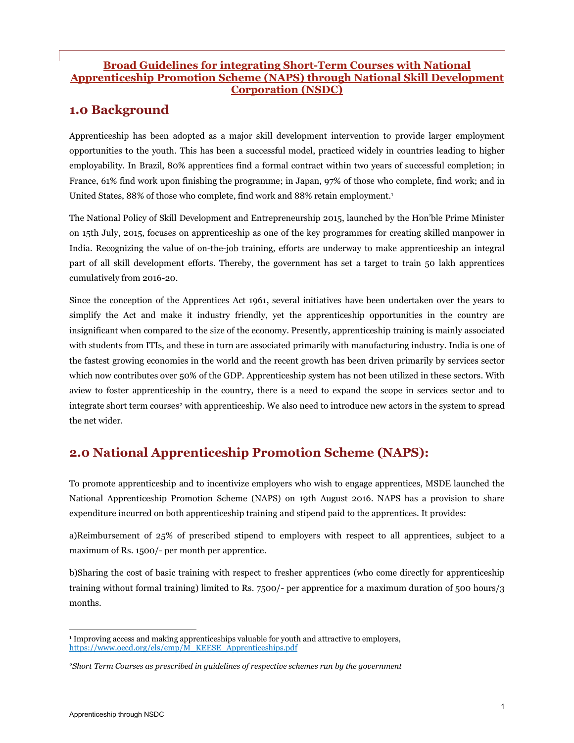#### Broad Guidelines for integrating Short-Term Courses with National Apprenticeship Promotion Scheme (NAPS) through National Skill Development Corporation (NSDC)

## 1.0 Background

Apprenticeship has been adopted as a major skill development intervention to provide larger employment opportunities to the youth. This has been a successful model, practiced widely in countries leading to higher employability. In Brazil, 80% apprentices find a formal contract within two years of successful completion; in France, 61% find work upon finishing the programme; in Japan, 97% of those who complete, find work; and in United States, 88% of those who complete, find work and 88% retain employment.<sup>1</sup>

The National Policy of Skill Development and Entrepreneurship 2015, launched by the Hon'ble Prime Minister on 15th July, 2015, focuses on apprenticeship as one of the key programmes for creating skilled manpower in India. Recognizing the value of on-the-job training, efforts are underway to make apprenticeship an integral part of all skill development efforts. Thereby, the government has set a target to train 50 lakh apprentices cumulatively from 2016-20.

Since the conception of the Apprentices Act 1961, several initiatives have been undertaken over the years to simplify the Act and make it industry friendly, yet the apprenticeship opportunities in the country are insignificant when compared to the size of the economy. Presently, apprenticeship training is mainly associated with students from ITIs, and these in turn are associated primarily with manufacturing industry. India is one of the fastest growing economies in the world and the recent growth has been driven primarily by services sector which now contributes over 50% of the GDP. Apprenticeship system has not been utilized in these sectors. With aview to foster apprenticeship in the country, there is a need to expand the scope in services sector and to integrate short term courses<sup>2</sup> with apprenticeship. We also need to introduce new actors in the system to spread the net wider.

## 2.0 National Apprenticeship Promotion Scheme (NAPS):

To promote apprenticeship and to incentivize employers who wish to engage apprentices, MSDE launched the National Apprenticeship Promotion Scheme (NAPS) on 19th August 2016. NAPS has a provision to share expenditure incurred on both apprenticeship training and stipend paid to the apprentices. It provides:

a)Reimbursement of 25% of prescribed stipend to employers with respect to all apprentices, subject to a maximum of Rs. 1500/- per month per apprentice.

b)Sharing the cost of basic training with respect to fresher apprentices (who come directly for apprenticeship training without formal training) limited to Rs. 7500/- per apprentice for a maximum duration of 500 hours/3 months.

 <sup>1</sup> Improving access and making apprenticeships valuable for youth and attractive to employers, https://www.oecd.org/els/emp/M\_KEESE\_Apprenticeships.pdf

<sup>2</sup>*Short Term Courses as prescribed in guidelines of respective schemes run by the government*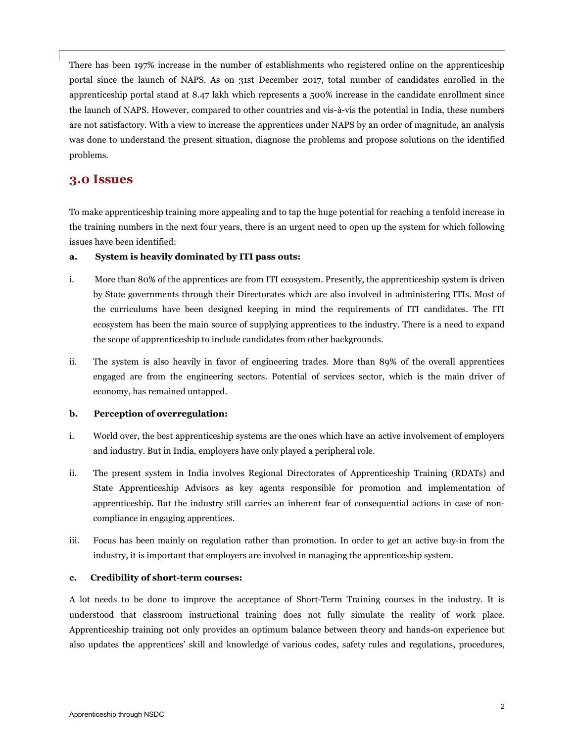There has been 197% increase in the number of establishments who registered online on the apprenticeship portal since the launch of NAPS. As on 31st December 2017, total number of candidates enrolled in the apprenticeship portal stand at 8.47 lakh which represents a 500% increase in the candidate enrollment since the launch of NAPS. However, compared to other countries and vis-à-vis the potential in India, these numbers are not satisfactory. With a view to increase the apprentices under NAPS by an order of magnitude, an analysis was done to understand the present situation, diagnose the problems and propose solutions on the identified problems.

#### 3.0 Issues

To make apprenticeship training more appealing and to tap the huge potential for reaching a tenfold increase in the training numbers in the next four years, there is an urgent need to open up the system for which following issues have been identified:

#### a. System is heavily dominated by ITI pass outs:

- i. More than 80% of the apprentices are from ITI ecosystem. Presently, the apprenticeship system is driven by State governments through their Directorates which are also involved in administering ITIs. Most of the curriculums have been designed keeping in mind the requirements of ITI candidates. The ITI ecosystem has been the main source of supplying apprentices to the industry. There is a need to expand the scope of apprenticeship to include candidates from other backgrounds.
- ii. The system is also heavily in favor of engineering trades. More than 89% of the overall apprentices engaged are from the engineering sectors. Potential of services sector, which is the main driver of economy, has remained untapped.

#### b. Perception of overregulation:

- i. World over, the best apprenticeship systems are the ones which have an active involvement of employers and industry. But in India, employers have only played a peripheral role.
- ii. The present system in India involves Regional Directorates of Apprenticeship Training (RDATs) and State Apprenticeship Advisors as key agents responsible for promotion and implementation of apprenticeship. But the industry still carries an inherent fear of consequential actions in case of noncompliance in engaging apprentices.
- iii. Focus has been mainly on regulation rather than promotion. In order to get an active buy-in from the industry, it is important that employers are involved in managing the apprenticeship system.

#### c. Credibility of short-term courses:

A lot needs to be done to improve the acceptance of Short-Term Training courses in the industry. It is understood that classroom instructional training does not fully simulate the reality of work place. Apprenticeship training not only provides an optimum balance between theory and hands-on experience but also updates the apprentices' skill and knowledge of various codes, safety rules and regulations, procedures,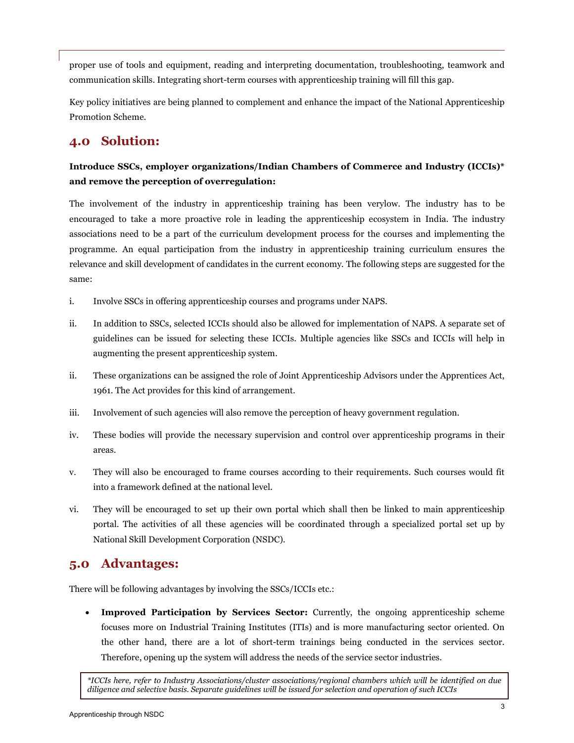proper use of tools and equipment, reading and interpreting documentation, troubleshooting, teamwork and communication skills. Integrating short-term courses with apprenticeship training will fill this gap.

Key policy initiatives are being planned to complement and enhance the impact of the National Apprenticeship Promotion Scheme.

## 4.0 Solution:

#### Introduce SSCs, employer organizations/Indian Chambers of Commerce and Industry (ICCIs)\* and remove the perception of overregulation:

The involvement of the industry in apprenticeship training has been verylow. The industry has to be encouraged to take a more proactive role in leading the apprenticeship ecosystem in India. The industry associations need to be a part of the curriculum development process for the courses and implementing the programme. An equal participation from the industry in apprenticeship training curriculum ensures the relevance and skill development of candidates in the current economy. The following steps are suggested for the same:

- i. Involve SSCs in offering apprenticeship courses and programs under NAPS.
- ii. In addition to SSCs, selected ICCIs should also be allowed for implementation of NAPS. A separate set of guidelines can be issued for selecting these ICCIs. Multiple agencies like SSCs and ICCIs will help in augmenting the present apprenticeship system.
- ii. These organizations can be assigned the role of Joint Apprenticeship Advisors under the Apprentices Act, 1961. The Act provides for this kind of arrangement.
- iii. Involvement of such agencies will also remove the perception of heavy government regulation.
- iv. These bodies will provide the necessary supervision and control over apprenticeship programs in their areas.
- v. They will also be encouraged to frame courses according to their requirements. Such courses would fit into a framework defined at the national level.
- vi. They will be encouraged to set up their own portal which shall then be linked to main apprenticeship portal. The activities of all these agencies will be coordinated through a specialized portal set up by National Skill Development Corporation (NSDC).

### 5.0 Advantages:

There will be following advantages by involving the SSCs/ICCIs etc.:

 Improved Participation by Services Sector: Currently, the ongoing apprenticeship scheme focuses more on Industrial Training Institutes (ITIs) and is more manufacturing sector oriented. On the other hand, there are a lot of short-term trainings being conducted in the services sector. Therefore, opening up the system will address the needs of the service sector industries.

*\*ICCIs here, refer to Industry Associations/cluster associations/regional chambers which will be identified on due diligence and selective basis. Separate guidelines will be issued for selection and operation of such ICCIs*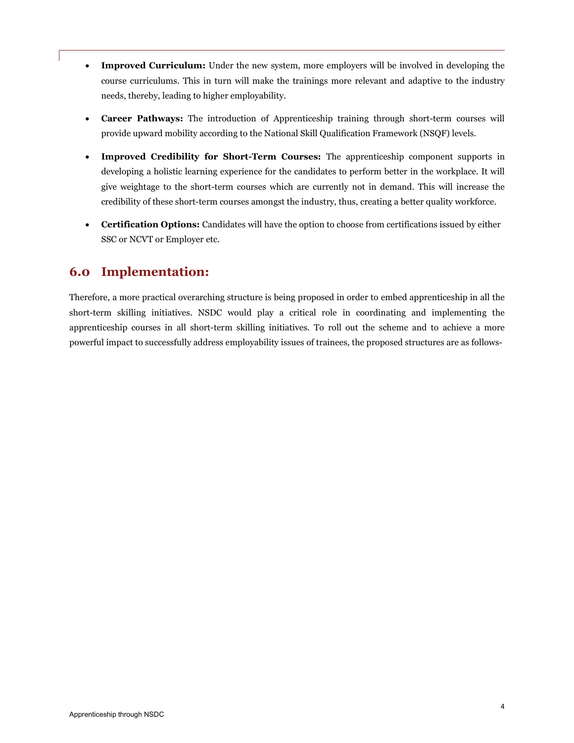- Improved Curriculum: Under the new system, more employers will be involved in developing the course curriculums. This in turn will make the trainings more relevant and adaptive to the industry needs, thereby, leading to higher employability.
- Career Pathways: The introduction of Apprenticeship training through short-term courses will provide upward mobility according to the National Skill Qualification Framework (NSQF) levels.
- Improved Credibility for Short-Term Courses: The apprenticeship component supports in developing a holistic learning experience for the candidates to perform better in the workplace. It will give weightage to the short-term courses which are currently not in demand. This will increase the credibility of these short-term courses amongst the industry, thus, creating a better quality workforce.
- Certification Options: Candidates will have the option to choose from certifications issued by either SSC or NCVT or Employer etc.

### 6.0 Implementation:

Therefore, a more practical overarching structure is being proposed in order to embed apprenticeship in all the short-term skilling initiatives. NSDC would play a critical role in coordinating and implementing the apprenticeship courses in all short-term skilling initiatives. To roll out the scheme and to achieve a more powerful impact to successfully address employability issues of trainees, the proposed structures are as follows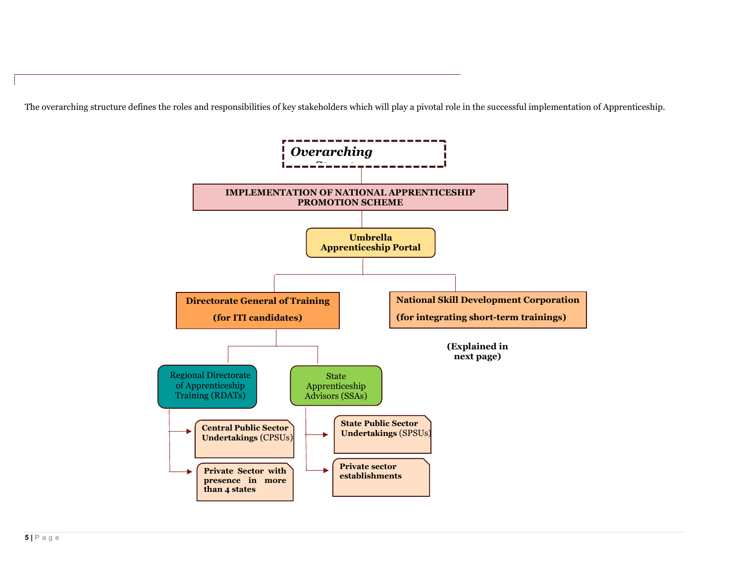The overarching structure defines the roles and responsibilities of key stakeholders which will play a pivotal role in the successful implementation of Apprenticeship.

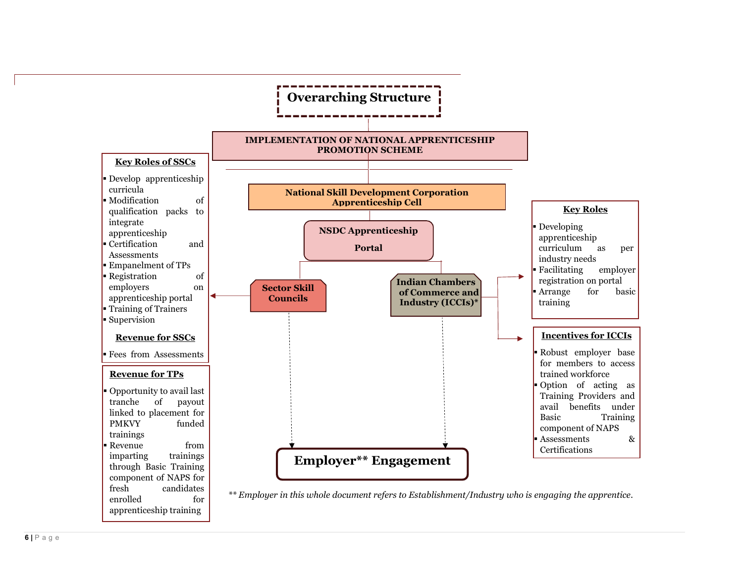

enrolled for apprenticeship training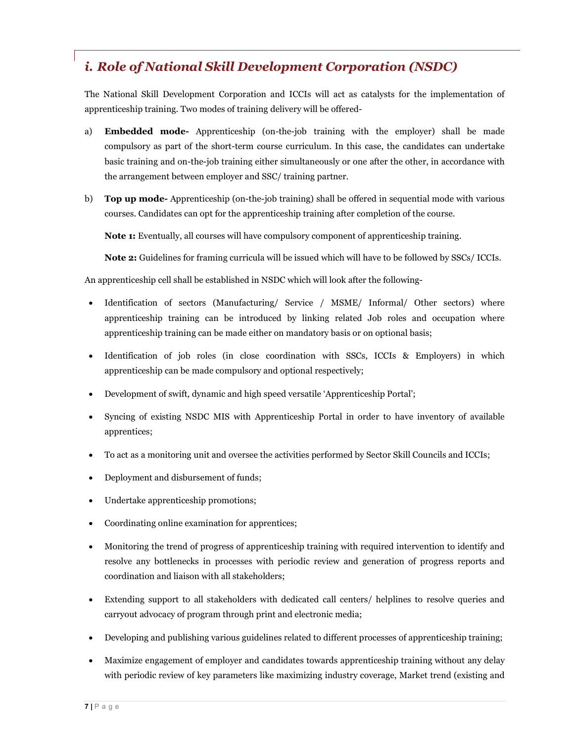# *i. Role of National Skill Development Corporation (NSDC)*

The National Skill Development Corporation and ICCIs will act as catalysts for the implementation of apprenticeship training. Two modes of training delivery will be offered-

- a) Embedded mode- Apprenticeship (on-the-job training with the employer) shall be made compulsory as part of the short-term course curriculum. In this case, the candidates can undertake basic training and on-the-job training either simultaneously or one after the other, in accordance with the arrangement between employer and SSC/ training partner.
- b) **Top up mode-** Apprenticeship (on-the-job training) shall be offered in sequential mode with various courses. Candidates can opt for the apprenticeship training after completion of the course.

Note 1: Eventually, all courses will have compulsory component of apprenticeship training.

Note 2: Guidelines for framing curricula will be issued which will have to be followed by SSCs/ ICCIs.

An apprenticeship cell shall be established in NSDC which will look after the following-

- Identification of sectors (Manufacturing/ Service / MSME/ Informal/ Other sectors) where apprenticeship training can be introduced by linking related Job roles and occupation where apprenticeship training can be made either on mandatory basis or on optional basis;
- Identification of job roles (in close coordination with SSCs, ICCIs & Employers) in which apprenticeship can be made compulsory and optional respectively;
- Development of swift, dynamic and high speed versatile 'Apprenticeship Portal';
- Syncing of existing NSDC MIS with Apprenticeship Portal in order to have inventory of available apprentices;
- To act as a monitoring unit and oversee the activities performed by Sector Skill Councils and ICCIs;
- Deployment and disbursement of funds;
- Undertake apprenticeship promotions;
- Coordinating online examination for apprentices;
- Monitoring the trend of progress of apprenticeship training with required intervention to identify and resolve any bottlenecks in processes with periodic review and generation of progress reports and coordination and liaison with all stakeholders;
- Extending support to all stakeholders with dedicated call centers/ helplines to resolve queries and carryout advocacy of program through print and electronic media;
- Developing and publishing various guidelines related to different processes of apprenticeship training;
- Maximize engagement of employer and candidates towards apprenticeship training without any delay with periodic review of key parameters like maximizing industry coverage, Market trend (existing and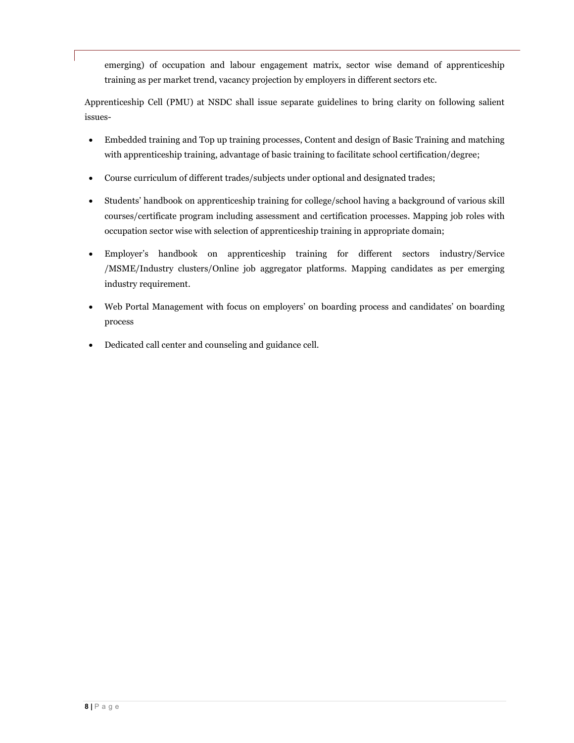emerging) of occupation and labour engagement matrix, sector wise demand of apprenticeship training as per market trend, vacancy projection by employers in different sectors etc.

Apprenticeship Cell (PMU) at NSDC shall issue separate guidelines to bring clarity on following salient issues-

- Embedded training and Top up training processes, Content and design of Basic Training and matching with apprenticeship training, advantage of basic training to facilitate school certification/degree;
- Course curriculum of different trades/subjects under optional and designated trades;
- Students' handbook on apprenticeship training for college/school having a background of various skill courses/certificate program including assessment and certification processes. Mapping job roles with occupation sector wise with selection of apprenticeship training in appropriate domain;
- Employer's handbook on apprenticeship training for different sectors industry/Service /MSME/Industry clusters/Online job aggregator platforms. Mapping candidates as per emerging industry requirement.
- Web Portal Management with focus on employers' on boarding process and candidates' on boarding process
- Dedicated call center and counseling and guidance cell.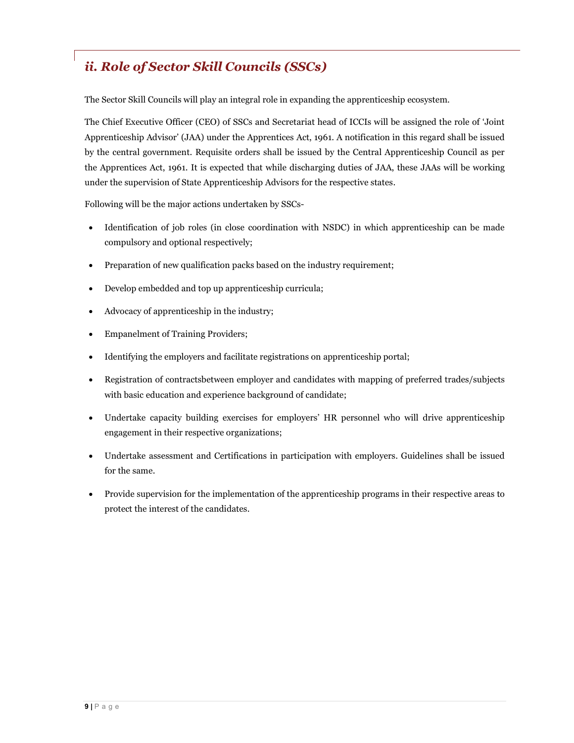# *ii. Role of Sector Skill Councils (SSCs)*

The Sector Skill Councils will play an integral role in expanding the apprenticeship ecosystem.

The Chief Executive Officer (CEO) of SSCs and Secretariat head of ICCIs will be assigned the role of 'Joint Apprenticeship Advisor' (JAA) under the Apprentices Act, 1961. A notification in this regard shall be issued by the central government. Requisite orders shall be issued by the Central Apprenticeship Council as per the Apprentices Act, 1961. It is expected that while discharging duties of JAA, these JAAs will be working under the supervision of State Apprenticeship Advisors for the respective states.

Following will be the major actions undertaken by SSCs-

- Identification of job roles (in close coordination with NSDC) in which apprenticeship can be made compulsory and optional respectively;
- Preparation of new qualification packs based on the industry requirement;
- Develop embedded and top up apprenticeship curricula;
- Advocacy of apprenticeship in the industry;
- Empanelment of Training Providers;
- Identifying the employers and facilitate registrations on apprenticeship portal;
- Registration of contractsbetween employer and candidates with mapping of preferred trades/subjects with basic education and experience background of candidate;
- Undertake capacity building exercises for employers' HR personnel who will drive apprenticeship engagement in their respective organizations;
- Undertake assessment and Certifications in participation with employers. Guidelines shall be issued for the same.
- Provide supervision for the implementation of the apprenticeship programs in their respective areas to protect the interest of the candidates.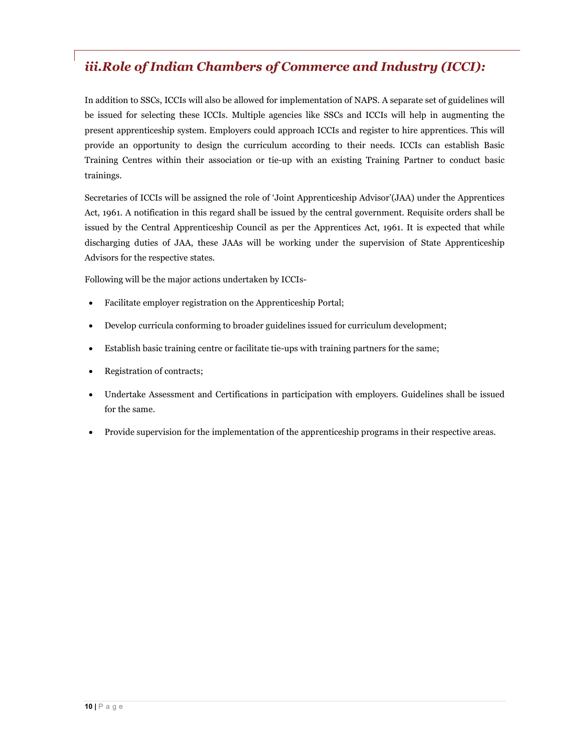# *iii.Role of Indian Chambers of Commerce and Industry (ICCI):*

In addition to SSCs, ICCIs will also be allowed for implementation of NAPS. A separate set of guidelines will be issued for selecting these ICCIs. Multiple agencies like SSCs and ICCIs will help in augmenting the present apprenticeship system. Employers could approach ICCIs and register to hire apprentices. This will provide an opportunity to design the curriculum according to their needs. ICCIs can establish Basic Training Centres within their association or tie-up with an existing Training Partner to conduct basic trainings.

Secretaries of ICCIs will be assigned the role of 'Joint Apprenticeship Advisor'(JAA) under the Apprentices Act, 1961. A notification in this regard shall be issued by the central government. Requisite orders shall be issued by the Central Apprenticeship Council as per the Apprentices Act, 1961. It is expected that while discharging duties of JAA, these JAAs will be working under the supervision of State Apprenticeship Advisors for the respective states.

Following will be the major actions undertaken by ICCIs-

- Facilitate employer registration on the Apprenticeship Portal;
- Develop curricula conforming to broader guidelines issued for curriculum development;
- Establish basic training centre or facilitate tie-ups with training partners for the same;
- Registration of contracts;
- Undertake Assessment and Certifications in participation with employers. Guidelines shall be issued for the same.
- Provide supervision for the implementation of the apprenticeship programs in their respective areas.